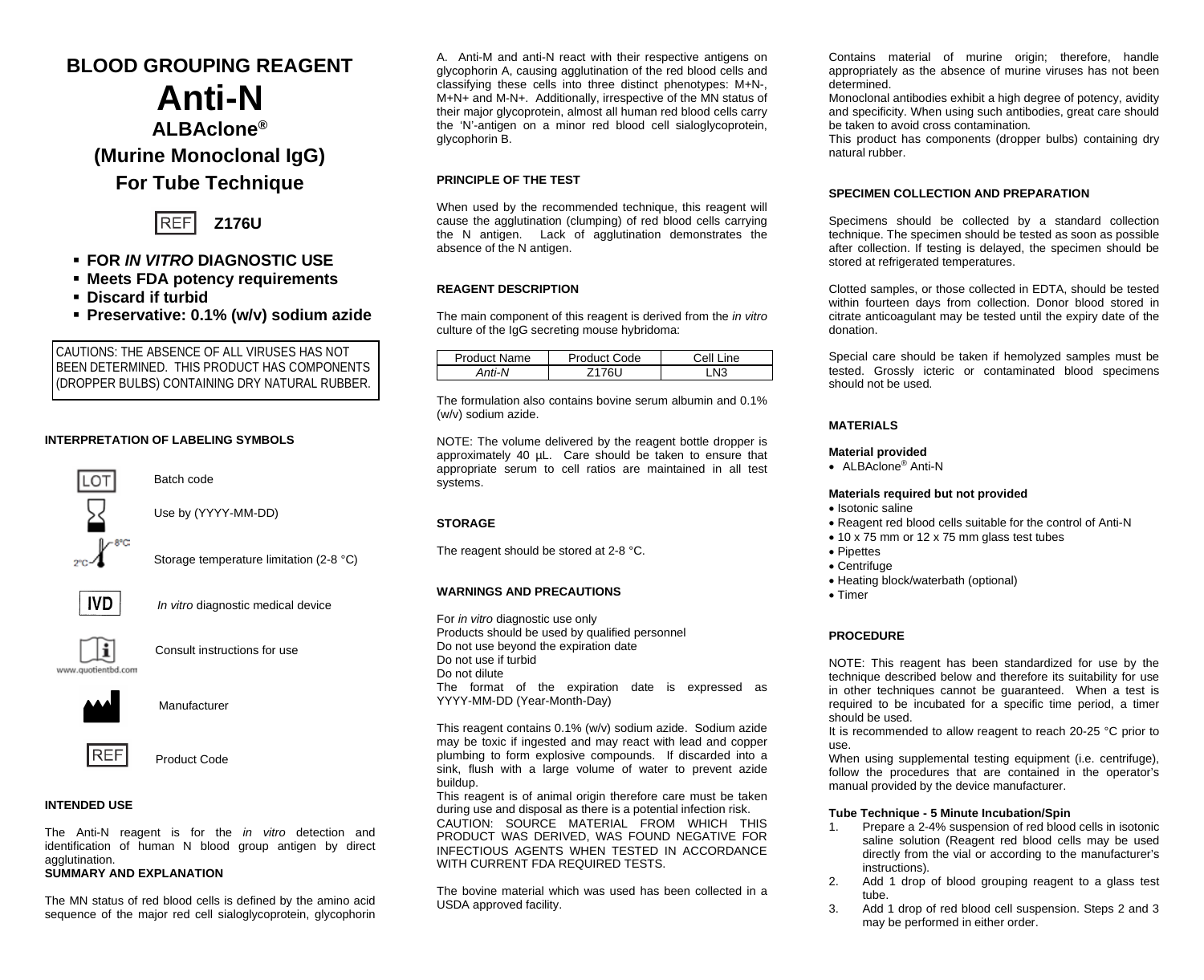# **BLOOD GROUPING REAGENT**

# **Anti-N**

# **ALBAclone®**

**(Murine Monoclonal IgG)**

## **For Tube Technique**



## **FOR** *IN VITRO* **DIAGNOSTIC USE**

- **Meets FDA potency requirements**
- **Discard if turbid**
- **Preservative: 0.1% (w/v) sodium azide**

CAUTIONS: THE ABSENCE OF ALL VIRUSES HAS NOT BEEN DETERMINED. THIS PRODUCT HAS COMPONENTS (DROPPER BULBS) CONTAINING DRY NATURAL RUBBER.

## **INTERPRETATION OF LABELING SYMBOLS**



Batch code

Use by (YYYY-MM-DD)

Storage temperature limitation (2-8 °C)



*In vitro* diagnostic medical device



Consult instructions for use





Manufacturer



Product Code

## **INTENDED USE**

The Anti-N reagent is for the *in vitro* detection and identification of human N blood group antigen by direct agglutination.

## **SUMMARY AND EXPLANATION**

The MN status of red blood cells is defined by the amino acid sequence of the major red cell sialoglycoprotein, glycophorin

A. Anti-M and anti-N react with their respective antigens on glycophorin A, causing agglutination of the red blood cells and classifying these cells into three distinct phenotypes: M+N-, M+N+ and M-N+. Additionally, irrespective of the MN status of their major glycoprotein, almost all human red blood cells carry the 'N'-antigen on a minor red blood cell sialoglycoprotein, glycophorin B.

#### **PRINCIPLE OF THE TEST**

When used by the recommended technique, this reagent will cause the agglutination (clumping) of red blood cells carrying the N antigen. Lack of agglutination demonstrates the absence of the N antigen.

#### **REAGENT DESCRIPTION**

The main component of this reagent is derived from the *in vitro* culture of the IgG secreting mouse hybridoma:

| <b>Product Name</b> | <b>Product Code</b> | Line<br>Cell |  |
|---------------------|---------------------|--------------|--|
| Anti-N              |                     | NЗ           |  |

The formulation also contains bovine serum albumin and 0.1% (w/v) sodium azide.

NOTE: The volume delivered by the reagent bottle dropper is approximately 40 µL. Care should be taken to ensure that appropriate serum to cell ratios are maintained in all test systems.

#### **STORAGE**

The reagent should be stored at 2-8 °C.

#### **WARNINGS AND PRECAUTIONS**

For *in vitro* diagnostic use only Products should be used by qualified personnel Do not use beyond the expiration date Do not use if turbid Do not dilute The format of the expiration date is expressed as YYYY-MM-DD (Year-Month-Day)

This reagent contains 0.1% (w/v) sodium azide. Sodium azide may be toxic if ingested and may react with lead and copper plumbing to form explosive compounds. If discarded into a sink, flush with a large volume of water to prevent azide buildup.

This reagent is of animal origin therefore care must be taken during use and disposal as there is a potential infection risk. CAUTION: SOURCE MATERIAL FROM WHICH THIS PRODUCT WAS DERIVED, WAS FOUND NEGATIVE FOR INFECTIOUS AGENTS WHEN TESTED IN ACCORDANCE WITH CURRENT FDA REQUIRED TESTS.

The bovine material which was used has been collected in a USDA approved facility.

Contains material of murine origin; therefore, handle appropriately as the absence of murine viruses has not been determined.

Monoclonal antibodies exhibit a high degree of potency, avidity and specificity. When using such antibodies, great care should be taken to avoid cross contamination*.*

This product has components (dropper bulbs) containing dry natural rubber.

#### **SPECIMEN COLLECTION AND PREPARATION**

Specimens should be collected by a standard collection technique. The specimen should be tested as soon as possible after collection. If testing is delayed, the specimen should be stored at refrigerated temperatures.

Clotted samples, or those collected in EDTA, should be tested within fourteen days from collection. Donor blood stored in citrate anticoagulant may be tested until the expiry date of the donation.

Special care should be taken if hemolyzed samples must be tested. Grossly icteric or contaminated blood specimens should not be used.

#### **MATERIALS**

#### **Material provided**

• ALBAclone® Anti-N

#### **Materials required but not provided**

- Isotonic saline
- Reagent red blood cells suitable for the control of Anti-N
- 10 x 75 mm or 12 x 75 mm glass test tubes
- Pipettes
- Centrifuge
- Heating block/waterbath (optional)
- Timer

#### **PROCEDURE**

NOTE: This reagent has been standardized for use by the technique described below and therefore its suitability for use in other techniques cannot be guaranteed. When a test is required to be incubated for a specific time period, a timer should be used.

It is recommended to allow reagent to reach 20-25 °C prior to use.

When using supplemental testing equipment (i.e. centrifuge), follow the procedures that are contained in the operator's manual provided by the device manufacturer.

# **Tube Technique - 5 Minute Incubation/Spin**<br>1 Prepare a 2-4% suspension of red blood

- Prepare a 2-4% suspension of red blood cells in isotonic saline solution (Reagent red blood cells may be used directly from the vial or according to the manufacturer's instructions).
- 2. Add 1 drop of blood grouping reagent to a glass test tube.
- 3. Add 1 drop of red blood cell suspension. Steps 2 and 3 may be performed in either order.